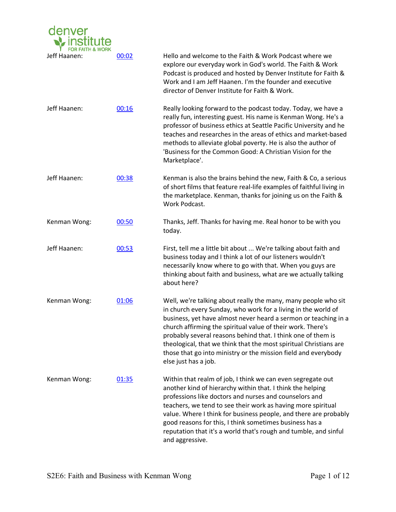

| Jeff Haanen: | 00:02 | Hello and welcome to the Faith & Work Podcast where we<br>explore our everyday work in God's world. The Faith & Work<br>Podcast is produced and hosted by Denver Institute for Faith &<br>Work and I am Jeff Haanen. I'm the founder and executive<br>director of Denver Institute for Faith & Work.                                                                                                                                                                                             |
|--------------|-------|--------------------------------------------------------------------------------------------------------------------------------------------------------------------------------------------------------------------------------------------------------------------------------------------------------------------------------------------------------------------------------------------------------------------------------------------------------------------------------------------------|
| Jeff Haanen: | 00:16 | Really looking forward to the podcast today. Today, we have a<br>really fun, interesting guest. His name is Kenman Wong. He's a<br>professor of business ethics at Seattle Pacific University and he<br>teaches and researches in the areas of ethics and market-based<br>methods to alleviate global poverty. He is also the author of<br>'Business for the Common Good: A Christian Vision for the<br>Marketplace'.                                                                            |
| Jeff Haanen: | 00:38 | Kenman is also the brains behind the new, Faith & Co, a serious<br>of short films that feature real-life examples of faithful living in<br>the marketplace. Kenman, thanks for joining us on the Faith &<br>Work Podcast.                                                                                                                                                                                                                                                                        |
| Kenman Wong: | 00:50 | Thanks, Jeff. Thanks for having me. Real honor to be with you<br>today.                                                                                                                                                                                                                                                                                                                                                                                                                          |
| Jeff Haanen: | 00:53 | First, tell me a little bit about  We're talking about faith and<br>business today and I think a lot of our listeners wouldn't<br>necessarily know where to go with that. When you guys are<br>thinking about faith and business, what are we actually talking<br>about here?                                                                                                                                                                                                                    |
| Kenman Wong: | 01:06 | Well, we're talking about really the many, many people who sit<br>in church every Sunday, who work for a living in the world of<br>business, yet have almost never heard a sermon or teaching in a<br>church affirming the spiritual value of their work. There's<br>probably several reasons behind that. I think one of them is<br>theological, that we think that the most spiritual Christians are<br>those that go into ministry or the mission field and everybody<br>else just has a job. |
| Kenman Wong: | 01:35 | Within that realm of job, I think we can even segregate out<br>another kind of hierarchy within that. I think the helping<br>professions like doctors and nurses and counselors and<br>teachers, we tend to see their work as having more spiritual<br>value. Where I think for business people, and there are probably<br>good reasons for this, I think sometimes business has a<br>reputation that it's a world that's rough and tumble, and sinful<br>and aggressive.                        |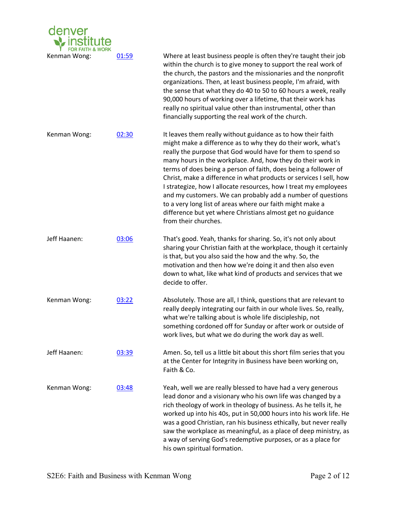

Kenman Wong: 01:59 Where at least business people is often they're taught their job within the church is to give money to support the real work of the church, the pastors and the missionaries and the nonprofit organizations. Then, at least business people, I'm afraid, with the sense that what they do 40 to 50 to 60 hours a week, really 90,000 hours of working over a lifetime, that their work has really no spiritual value other than instrumental, other than financially supporting the real work of the church.

Kenman Wong:  $02:30$  It leaves them really without guidance as to how their faith might make a difference as to why they do their work, what's really the purpose that God would have for them to spend so many hours in the workplace. And, how they do their work in terms of does being a person of faith, does being a follower of Christ, make a difference in what products or services I sell, how I strategize, how I allocate resources, how I treat my employees and my customers. We can probably add a number of questions to a very long list of areas where our faith might make a difference but yet where Christians almost get no guidance from their churches.

- Jeff Haanen: 03:06 That's good. Yeah, thanks for sharing. So, it's not only about sharing your Christian faith at the workplace, though it certainly is that, but you also said the how and the why. So, the motivation and then how we're doing it and then also even down to what, like what kind of products and services that we decide to offer.
- Kenman Wong:  $0.3:22$  Absolutely. Those are all, I think, questions that are relevant to really deeply integrating our faith in our whole lives. So, really, what we're talking about is whole life discipleship, not something cordoned off for Sunday or after work or outside of work lives, but what we do during the work day as well.
- Jeff Haanen: 03:39 Amen. So, tell us a little bit about this short film series that you at the Center for Integrity in Business have been working on, Faith & Co.
- Kenman Wong: 03:48 Yeah, well we are really blessed to have had a very generous lead donor and a visionary who his own life was changed by a rich theology of work in theology of business. As he tells it, he worked up into his 40s, put in 50,000 hours into his work life. He was a good Christian, ran his business ethically, but never really saw the workplace as meaningful, as a place of deep ministry, as a way of serving God's redemptive purposes, or as a place for his own spiritual formation.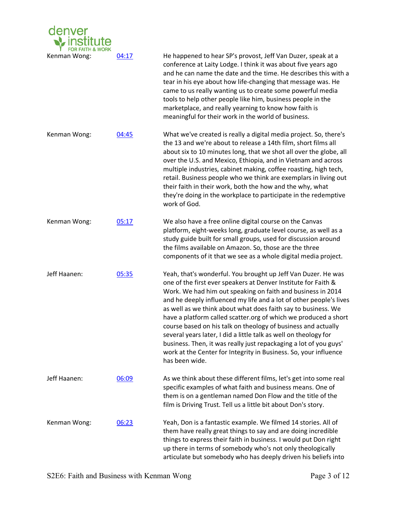

Kenman Wong: 04:17 He happened to hear SP's provost, Jeff Van Duzer, speak at a conference at Laity Lodge. I think it was about five years ago and he can name the date and the time. He describes this with a tear in his eye about how life-changing that message was. He came to us really wanting us to create some powerful media tools to help other people like him, business people in the marketplace, and really yearning to know how faith is meaningful for their work in the world of business.

Kenman Wong:  $04:45$  What we've created is really a digital media project. So, there's the 13 and we're about to release a 14th film, short films all about six to 10 minutes long, that we shot all over the globe, all over the U.S. and Mexico, Ethiopia, and in Vietnam and across multiple industries, cabinet making, coffee roasting, high tech, retail. Business people who we think are exemplars in living out their faith in their work, both the how and the why, what they're doing in the workplace to participate in the redemptive work of God.

Kenman Wong: 05:17 We also have a free online digital course on the Canvas platform, eight-weeks long, graduate level course, as well as a study guide built for small groups, used for discussion around the films available on Amazon. So, those are the three components of it that we see as a whole digital media project.

Jeff Haanen: 05:35 Yeah, that's wonderful. You brought up Jeff Van Duzer. He was one of the first ever speakers at Denver Institute for Faith & Work. We had him out speaking on faith and business in 2014 and he deeply influenced my life and a lot of other people's lives as well as we think about what does faith say to business. We have a platform called scatter.org of which we produced a short course based on his talk on theology of business and actually several years later, I did a little talk as well on theology for business. Then, it was really just repackaging a lot of you guys' work at the Center for Integrity in Business. So, your influence has been wide.

Jeff Haanen: 06:09 As we think about these different films, let's get into some real specific examples of what faith and business means. One of them is on a gentleman named Don Flow and the title of the film is Driving Trust. Tell us a little bit about Don's story. Kenman Wong: 06:23 Yeah, Don is a fantastic example. We filmed 14 stories. All of

them have really great things to say and are doing incredible things to express their faith in business. I would put Don right up there in terms of somebody who's not only theologically articulate but somebody who has deeply driven his beliefs into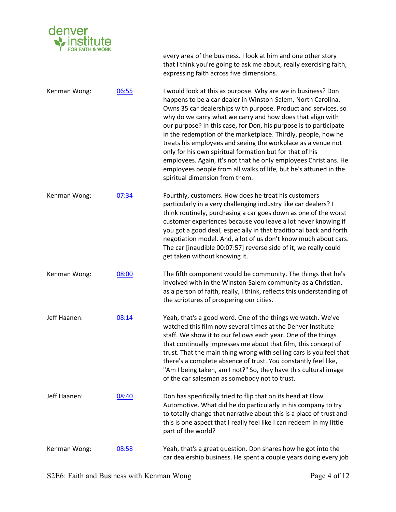

every area of the business. I look at him and one other story that I think you're going to ask me about, really exercising faith, expressing faith across five dimensions.

Kenman Wong: 06:55 I would look at this as purpose. Why are we in business? Don happens to be a car dealer in Winston-Salem, North Carolina. Owns 35 car dealerships with purpose. Product and services, so why do we carry what we carry and how does that align with our purpose? In this case, for Don, his purpose is to participate in the redemption of the marketplace. Thirdly, people, how he treats his employees and seeing the workplace as a venue not only for his own spiritual formation but for that of his employees. Again, it's not that he only employees Christians. He employees people from all walks of life, but he's attuned in the spiritual dimension from them.

Kenman Wong:  $07:34$  Fourthly, customers. How does he treat his customers particularly in a very challenging industry like car dealers? I think routinely, purchasing a car goes down as one of the worst customer experiences because you leave a lot never knowing if you got a good deal, especially in that traditional back and forth negotiation model. And, a lot of us don't know much about cars. The car [inaudible 00:07:57] reverse side of it, we really could get taken without knowing it.

Kenman Wong: 08:00 The fifth component would be community. The things that he's involved with in the Winston-Salem community as a Christian, as a person of faith, really, I think, reflects this understanding of the scriptures of prospering our cities.

- Jeff Haanen: 08:14 Yeah, that's a good word. One of the things we watch. We've watched this film now several times at the Denver Institute staff. We show it to our fellows each year. One of the things that continually impresses me about that film, this concept of trust. That the main thing wrong with selling cars is you feel that there's a complete absence of trust. You constantly feel like, "Am I being taken, am I not?" So, they have this cultural image of the car salesman as somebody not to trust.
- Jeff Haanen: 08:40 Don has specifically tried to flip that on its head at Flow Automotive. What did he do particularly in his company to try to totally change that narrative about this is a place of trust and this is one aspect that I really feel like I can redeem in my little part of the world?

## Kenman Wong: 08:58 Yeah, that's a great question. Don shares how he got into the car dealership business. He spent a couple years doing every job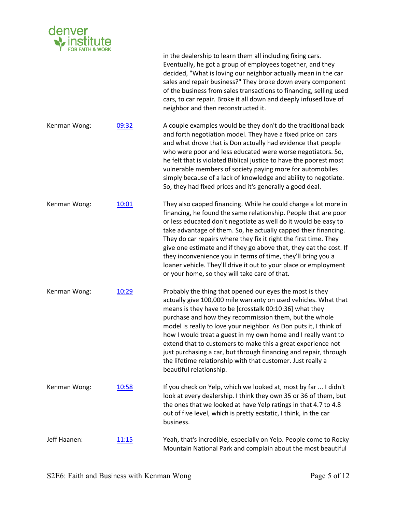

|              |               | in the dealership to learn them all including fixing cars.<br>Eventually, he got a group of employees together, and they<br>decided, "What is loving our neighbor actually mean in the car<br>sales and repair business?" They broke down every component<br>of the business from sales transactions to financing, selling used<br>cars, to car repair. Broke it all down and deeply infused love of<br>neighbor and then reconstructed it.                                                                                                                                                                          |
|--------------|---------------|----------------------------------------------------------------------------------------------------------------------------------------------------------------------------------------------------------------------------------------------------------------------------------------------------------------------------------------------------------------------------------------------------------------------------------------------------------------------------------------------------------------------------------------------------------------------------------------------------------------------|
| Kenman Wong: | 09:32         | A couple examples would be they don't do the traditional back<br>and forth negotiation model. They have a fixed price on cars<br>and what drove that is Don actually had evidence that people<br>who were poor and less educated were worse negotiators. So,<br>he felt that is violated Biblical justice to have the poorest most<br>vulnerable members of society paying more for automobiles<br>simply because of a lack of knowledge and ability to negotiate.<br>So, they had fixed prices and it's generally a good deal.                                                                                      |
| Kenman Wong: | 10:01         | They also capped financing. While he could charge a lot more in<br>financing, he found the same relationship. People that are poor<br>or less educated don't negotiate as well do it would be easy to<br>take advantage of them. So, he actually capped their financing.<br>They do car repairs where they fix it right the first time. They<br>give one estimate and if they go above that, they eat the cost. If<br>they inconvenience you in terms of time, they'll bring you a<br>loaner vehicle. They'll drive it out to your place or employment<br>or your home, so they will take care of that.              |
| Kenman Wong: | 10:29         | Probably the thing that opened our eyes the most is they<br>actually give 100,000 mile warranty on used vehicles. What that<br>means is they have to be [crosstalk 00:10:36] what they<br>purchase and how they recommission them, but the whole<br>model is really to love your neighbor. As Don puts it, I think of<br>how I would treat a guest in my own home and I really want to<br>extend that to customers to make this a great experience not<br>just purchasing a car, but through financing and repair, through<br>the lifetime relationship with that customer. Just really a<br>beautiful relationship. |
| Kenman Wong: | 10:58         | If you check on Yelp, which we looked at, most by far  I didn't<br>look at every dealership. I think they own 35 or 36 of them, but<br>the ones that we looked at have Yelp ratings in that 4.7 to 4.8<br>out of five level, which is pretty ecstatic, I think, in the car<br>business.                                                                                                                                                                                                                                                                                                                              |
| Jeff Haanen: | <u> 11:15</u> | Yeah, that's incredible, especially on Yelp. People come to Rocky<br>Mountain National Park and complain about the most beautiful                                                                                                                                                                                                                                                                                                                                                                                                                                                                                    |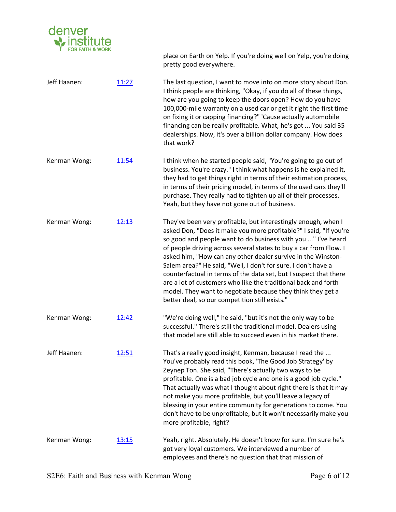

place on Earth on Yelp. If you're doing well on Yelp, you're doing pretty good everywhere.

Jeff Haanen: 11:27 The last question, I want to move into on more story about Don. I think people are thinking, "Okay, if you do all of these things, how are you going to keep the doors open? How do you have 100,000-mile warranty on a used car or get it right the first time on fixing it or capping financing?" 'Cause actually automobile financing can be really profitable. What, he's got ... You said 35 dealerships. Now, it's over a billion dollar company. How does that work? Kenman Wong: 11:54 I think when he started people said, "You're going to go out of business. You're crazy." I think what happens is he explained it, they had to get things right in terms of their estimation process, in terms of their pricing model, in terms of the used cars they'll purchase. They really had to tighten up all of their processes. Yeah, but they have not gone out of business. Kenman Wong: 12:13 They've been very profitable, but interestingly enough, when I asked Don, "Does it make you more profitable?" I said, "If you're so good and people want to do business with you ..." I've heard of people driving across several states to buy a car from Flow. I asked him, "How can any other dealer survive in the Winston-Salem area?" He said, "Well, I don't for sure. I don't have a counterfactual in terms of the data set, but I suspect that there are a lot of customers who like the traditional back and forth model. They want to negotiate because they think they get a better deal, so our competition still exists." Kenman Wong:  $12:42$  "We're doing well," he said, "but it's not the only way to be successful." There's still the traditional model. Dealers using that model are still able to succeed even in his market there. Jeff Haanen: 12:51 That's a really good insight, Kenman, because I read the ... You've probably read this book, 'The Good Job Strategy' by Zeynep Ton. She said, "There's actually two ways to be profitable. One is a bad job cycle and one is a good job cycle." That actually was what I thought about right there is that it may not make you more profitable, but you'll leave a legacy of blessing in your entire community for generations to come. You don't have to be unprofitable, but it won't necessarily make you more profitable, right? Kenman Wong: 13:15 Yeah, right. Absolutely. He doesn't know for sure. I'm sure he's got very loyal customers. We interviewed a number of employees and there's no question that that mission of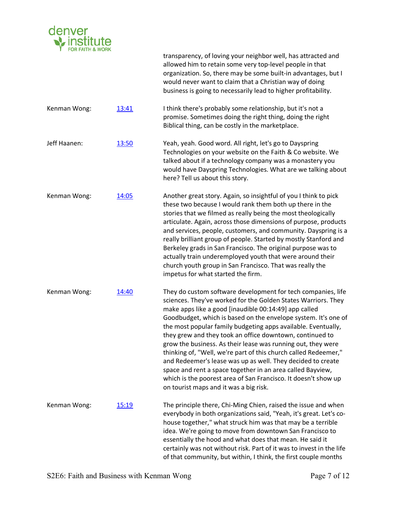

|              |       | transparency, of loving your neighbor well, has attracted and<br>allowed him to retain some very top-level people in that<br>organization. So, there may be some built-in advantages, but I<br>would never want to claim that a Christian way of doing<br>business is going to necessarily lead to higher profitability.                                                                                                                                                                                                                                                                                                                                                                                                                                          |
|--------------|-------|-------------------------------------------------------------------------------------------------------------------------------------------------------------------------------------------------------------------------------------------------------------------------------------------------------------------------------------------------------------------------------------------------------------------------------------------------------------------------------------------------------------------------------------------------------------------------------------------------------------------------------------------------------------------------------------------------------------------------------------------------------------------|
| Kenman Wong: | 13:41 | I think there's probably some relationship, but it's not a<br>promise. Sometimes doing the right thing, doing the right<br>Biblical thing, can be costly in the marketplace.                                                                                                                                                                                                                                                                                                                                                                                                                                                                                                                                                                                      |
| Jeff Haanen: | 13:50 | Yeah, yeah. Good word. All right, let's go to Dayspring<br>Technologies on your website on the Faith & Co website. We<br>talked about if a technology company was a monastery you<br>would have Dayspring Technologies. What are we talking about<br>here? Tell us about this story.                                                                                                                                                                                                                                                                                                                                                                                                                                                                              |
| Kenman Wong: | 14:05 | Another great story. Again, so insightful of you I think to pick<br>these two because I would rank them both up there in the<br>stories that we filmed as really being the most theologically<br>articulate. Again, across those dimensions of purpose, products<br>and services, people, customers, and community. Dayspring is a<br>really brilliant group of people. Started by mostly Stanford and<br>Berkeley grads in San Francisco. The original purpose was to<br>actually train underemployed youth that were around their<br>church youth group in San Francisco. That was really the<br>impetus for what started the firm.                                                                                                                             |
| Kenman Wong: | 14:40 | They do custom software development for tech companies, life<br>sciences. They've worked for the Golden States Warriors. They<br>make apps like a good [inaudible 00:14:49] app called<br>Goodbudget, which is based on the envelope system. It's one of<br>the most popular family budgeting apps available. Eventually,<br>they grew and they took an office downtown, continued to<br>grow the business. As their lease was running out, they were<br>thinking of, "Well, we're part of this church called Redeemer,"<br>and Redeemer's lease was up as well. They decided to create<br>space and rent a space together in an area called Bayview,<br>which is the poorest area of San Francisco. It doesn't show up<br>on tourist maps and it was a big risk. |
| Kenman Wong: | 15:19 | The principle there, Chi-Ming Chien, raised the issue and when<br>everybody in both organizations said, "Yeah, it's great. Let's co-<br>house together," what struck him was that may be a terrible<br>idea. We're going to move from downtown San Francisco to<br>essentially the hood and what does that mean. He said it<br>certainly was not without risk. Part of it was to invest in the life<br>of that community, but within, I think, the first couple months                                                                                                                                                                                                                                                                                            |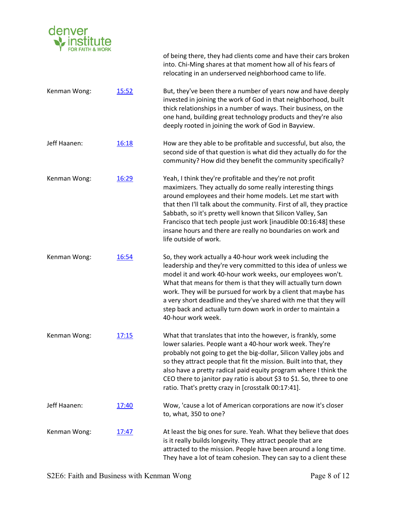

|              |              | of being there, they had clients come and have their cars broken<br>into. Chi-Ming shares at that moment how all of his fears of<br>relocating in an underserved neighborhood came to life.                                                                                                                                                                                                                                                                                           |
|--------------|--------------|---------------------------------------------------------------------------------------------------------------------------------------------------------------------------------------------------------------------------------------------------------------------------------------------------------------------------------------------------------------------------------------------------------------------------------------------------------------------------------------|
| Kenman Wong: | 15:52        | But, they've been there a number of years now and have deeply<br>invested in joining the work of God in that neighborhood, built<br>thick relationships in a number of ways. Their business, on the<br>one hand, building great technology products and they're also<br>deeply rooted in joining the work of God in Bayview.                                                                                                                                                          |
| Jeff Haanen: | 16:18        | How are they able to be profitable and successful, but also, the<br>second side of that question is what did they actually do for the<br>community? How did they benefit the community specifically?                                                                                                                                                                                                                                                                                  |
| Kenman Wong: | 16:29        | Yeah, I think they're profitable and they're not profit<br>maximizers. They actually do some really interesting things<br>around employees and their home models. Let me start with<br>that then I'll talk about the community. First of all, they practice<br>Sabbath, so it's pretty well known that Silicon Valley, San<br>Francisco that tech people just work [inaudible 00:16:48] these<br>insane hours and there are really no boundaries on work and<br>life outside of work. |
| Kenman Wong: | 16:54        | So, they work actually a 40-hour work week including the<br>leadership and they're very committed to this idea of unless we<br>model it and work 40-hour work weeks, our employees won't.<br>What that means for them is that they will actually turn down<br>work. They will be pursued for work by a client that maybe has<br>a very short deadline and they've shared with me that they will<br>step back and actually turn down work in order to maintain a<br>40-hour work week. |
| Kenman Wong: | 17:15        | What that translates that into the however, is frankly, some<br>lower salaries. People want a 40-hour work week. They're<br>probably not going to get the big-dollar, Silicon Valley jobs and<br>so they attract people that fit the mission. Built into that, they<br>also have a pretty radical paid equity program where I think the<br>CEO there to janitor pay ratio is about \$3 to \$1. So, three to one<br>ratio. That's pretty crazy in [crosstalk 00:17:41].                |
| Jeff Haanen: | 17:40        | Wow, 'cause a lot of American corporations are now it's closer<br>to, what, 350 to one?                                                                                                                                                                                                                                                                                                                                                                                               |
| Kenman Wong: | <u>17:47</u> | At least the big ones for sure. Yeah. What they believe that does<br>is it really builds longevity. They attract people that are<br>attracted to the mission. People have been around a long time.<br>They have a lot of team cohesion. They can say to a client these                                                                                                                                                                                                                |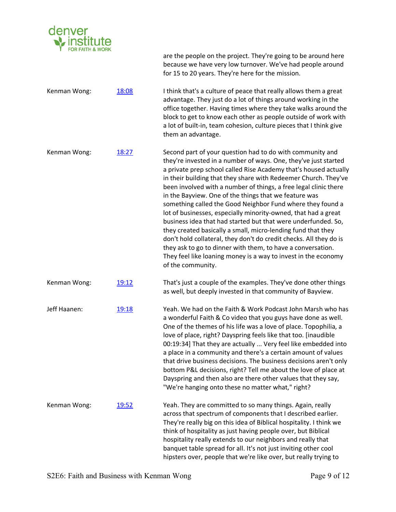

are the people on the project. They're going to be around here because we have very low turnover. We've had people around for 15 to 20 years. They're here for the mission. Kenman Wong: 18:08 I think that's a culture of peace that really allows them a great advantage. They just do a lot of things around working in the office together. Having times where they take walks around the block to get to know each other as people outside of work with a lot of built-in, team cohesion, culture pieces that I think give them an advantage. Kenman Wong: 18:27 Second part of your question had to do with community and they're invested in a number of ways. One, they've just started a private prep school called Rise Academy that's housed actually in their building that they share with Redeemer Church. They've been involved with a number of things, a free legal clinic there in the Bayview. One of the things that we feature was something called the Good Neighbor Fund where they found a lot of businesses, especially minority-owned, that had a great business idea that had started but that were underfunded. So, they created basically a small, micro-lending fund that they don't hold collateral, they don't do credit checks. All they do is they ask to go to dinner with them, to have a conversation. They feel like loaning money is a way to invest in the economy of the community. Kenman Wong:  $19:12$  That's just a couple of the examples. They've done other things as well, but deeply invested in that community of Bayview. Jeff Haanen: 19:18 Yeah. We had on the Faith & Work Podcast John Marsh who has a wonderful Faith & Co video that you guys have done as well. One of the themes of his life was a love of place. Topophilia, a love of place, right? Dayspring feels like that too. [inaudible 00:19:34] That they are actually ... Very feel like embedded into a place in a community and there's a certain amount of values that drive business decisions. The business decisions aren't only bottom P&L decisions, right? Tell me about the love of place at Dayspring and then also are there other values that they say, "We're hanging onto these no matter what," right? Kenman Wong: 19:52 Yeah. They are committed to so many things. Again, really across that spectrum of components that I described earlier. They're really big on this idea of Biblical hospitality. I think we think of hospitality as just having people over, but Biblical hospitality really extends to our neighbors and really that banquet table spread for all. It's not just inviting other cool hipsters over, people that we're like over, but really trying to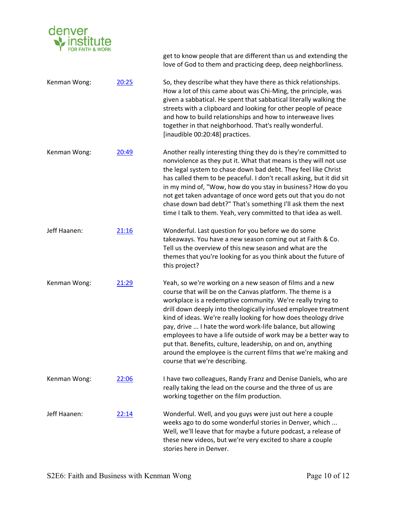

get to know people that are different than us and extending the love of God to them and practicing deep, deep neighborliness. Kenman Wong: 20:25 So, they describe what they have there as thick relationships. How a lot of this came about was Chi-Ming, the principle, was given a sabbatical. He spent that sabbatical literally walking the streets with a clipboard and looking for other people of peace and how to build relationships and how to interweave lives together in that neighborhood. That's really wonderful. [inaudible 00:20:48] practices. Kenman Wong: 20:49 Another really interesting thing they do is they're committed to nonviolence as they put it. What that means is they will not use the legal system to chase down bad debt. They feel like Christ has called them to be peaceful. I don't recall asking, but it did sit in my mind of, "Wow, how do you stay in business? How do you not get taken advantage of once word gets out that you do not chase down bad debt?" That's something I'll ask them the next time I talk to them. Yeah, very committed to that idea as well. Jeff Haanen: 21:16 Wonderful. Last question for you before we do some takeaways. You have a new season coming out at Faith & Co. Tell us the overview of this new season and what are the themes that you're looking for as you think about the future of this project? Kenman Wong: 21:29 Yeah, so we're working on a new season of films and a new course that will be on the Canvas platform. The theme is a workplace is a redemptive community. We're really trying to drill down deeply into theologically infused employee treatment kind of ideas. We're really looking for how does theology drive pay, drive ... I hate the word work-life balance, but allowing employees to have a life outside of work may be a better way to put that. Benefits, culture, leadership, on and on, anything around the employee is the current films that we're making and course that we're describing. Kenman Wong: 22:06 I have two colleagues, Randy Franz and Denise Daniels, who are really taking the lead on the course and the three of us are working together on the film production. Jeff Haanen: 22:14 Wonderful. Well, and you guys were just out here a couple weeks ago to do some wonderful stories in Denver, which ... Well, we'll leave that for maybe a future podcast, a release of these new videos, but we're very excited to share a couple stories here in Denver.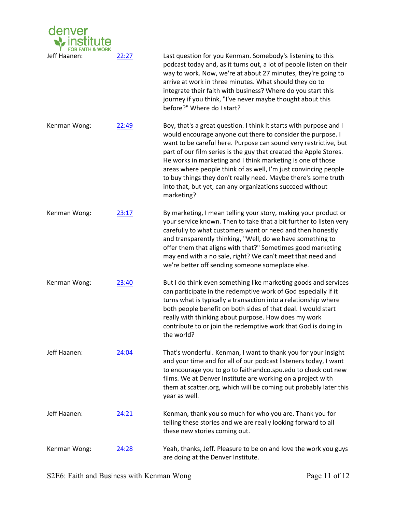| denver       |       |                                                                                                                                                                                                                                                                                                                                                                                                                                                                                                                                                           |
|--------------|-------|-----------------------------------------------------------------------------------------------------------------------------------------------------------------------------------------------------------------------------------------------------------------------------------------------------------------------------------------------------------------------------------------------------------------------------------------------------------------------------------------------------------------------------------------------------------|
| Jeff Haanen: | 22:27 | Last question for you Kenman. Somebody's listening to this<br>podcast today and, as it turns out, a lot of people listen on their<br>way to work. Now, we're at about 27 minutes, they're going to<br>arrive at work in three minutes. What should they do to<br>integrate their faith with business? Where do you start this<br>journey if you think, "I've never maybe thought about this<br>before?" Where do I start?                                                                                                                                 |
| Kenman Wong: | 22:49 | Boy, that's a great question. I think it starts with purpose and I<br>would encourage anyone out there to consider the purpose. I<br>want to be careful here. Purpose can sound very restrictive, but<br>part of our film series is the guy that created the Apple Stores.<br>He works in marketing and I think marketing is one of those<br>areas where people think of as well, I'm just convincing people<br>to buy things they don't really need. Maybe there's some truth<br>into that, but yet, can any organizations succeed without<br>marketing? |
| Kenman Wong: | 23:17 | By marketing, I mean telling your story, making your product or<br>your service known. Then to take that a bit further to listen very<br>carefully to what customers want or need and then honestly<br>and transparently thinking, "Well, do we have something to<br>offer them that aligns with that?" Sometimes good marketing<br>may end with a no sale, right? We can't meet that need and<br>we're better off sending someone someplace else.                                                                                                        |
| Kenman Wong: | 23:40 | But I do think even something like marketing goods and services<br>can participate in the redemptive work of God especially if it<br>turns what is typically a transaction into a relationship where<br>both people benefit on both sides of that deal. I would start<br>really with thinking about purpose. How does my work<br>contribute to or join the redemptive work that God is doing in<br>the world?                                                                                                                                             |
| Jeff Haanen: | 24:04 | That's wonderful. Kenman, I want to thank you for your insight<br>and your time and for all of our podcast listeners today, I want<br>to encourage you to go to faithandco.spu.edu to check out new<br>films. We at Denver Institute are working on a project with<br>them at scatter.org, which will be coming out probably later this<br>year as well.                                                                                                                                                                                                  |
| Jeff Haanen: | 24:21 | Kenman, thank you so much for who you are. Thank you for<br>telling these stories and we are really looking forward to all<br>these new stories coming out.                                                                                                                                                                                                                                                                                                                                                                                               |
| Kenman Wong: | 24:28 | Yeah, thanks, Jeff. Pleasure to be on and love the work you guys<br>are doing at the Denver Institute.                                                                                                                                                                                                                                                                                                                                                                                                                                                    |